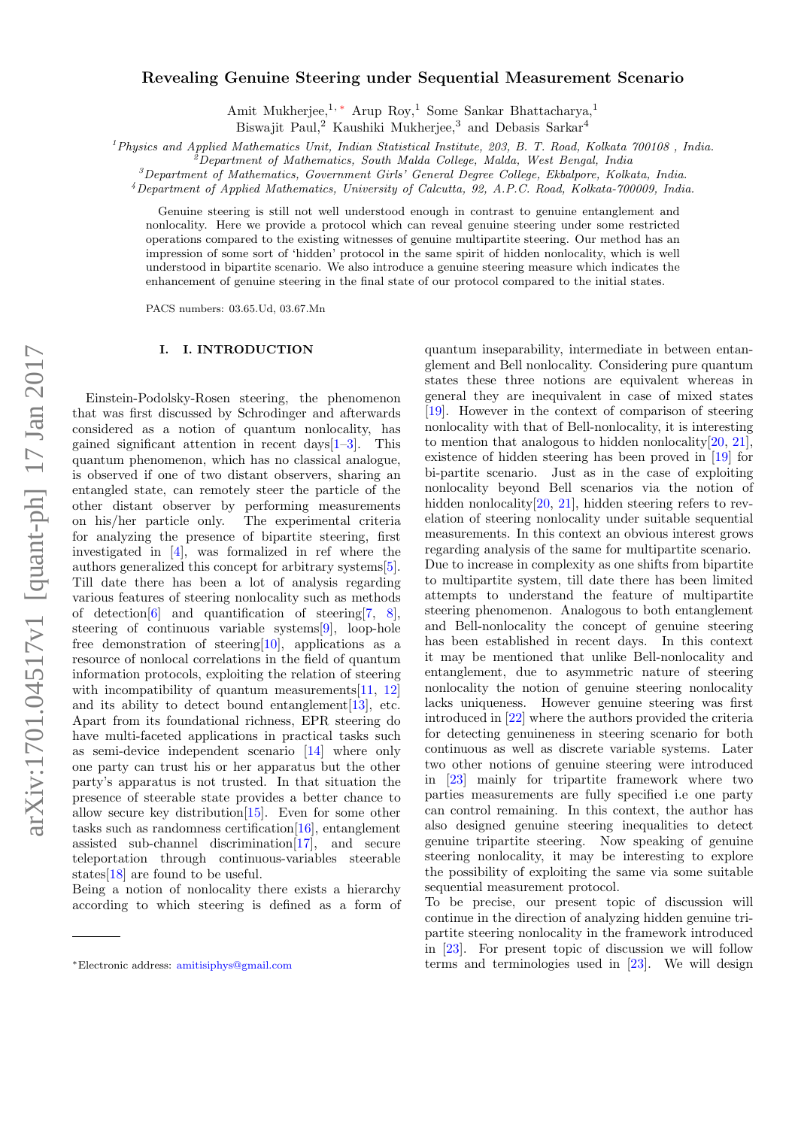# $arXiv:1701.04517v1$  [quant-ph] 17 Jan 2017 arXiv:1701.04517v1 [quant-ph] 17 Jan 2017

# Revealing Genuine Steering under Sequential Measurement Scenario

Amit Mukherjee,<sup>1,\*</sup> Arup Roy,<sup>1</sup> Some Sankar Bhattacharya,<sup>1</sup> Biswajit Paul,<sup>2</sup> Kaushiki Mukherjee,<sup>3</sup> and Debasis Sarkar<sup>4</sup>

 $1$ Physics and Applied Mathematics Unit, Indian Statistical Institute, 203, B. T. Road, Kolkata 700108, India.

 $^2$ Department of Mathematics, South Malda College, Malda, West Bengal, India

 ${}^3$ Department of Mathematics, Government Girls' General Degree College, Ekbalpore, Kolkata, India.

<sup>4</sup>Department of Applied Mathematics, University of Calcutta, 92, A.P.C. Road, Kolkata-700009, India.

Genuine steering is still not well understood enough in contrast to genuine entanglement and nonlocality. Here we provide a protocol which can reveal genuine steering under some restricted operations compared to the existing witnesses of genuine multipartite steering. Our method has an impression of some sort of 'hidden' protocol in the same spirit of hidden nonlocality, which is well understood in bipartite scenario. We also introduce a genuine steering measure which indicates the enhancement of genuine steering in the final state of our protocol compared to the initial states.

PACS numbers: 03.65.Ud, 03.67.Mn

# I. I. INTRODUCTION

Einstein-Podolsky-Rosen steering, the phenomenon that was first discussed by Schrodinger and afterwards considered as a notion of quantum nonlocality, has gained significant attention in recent days[1–3]. This quantum phenomenon, which has no classical analogue, is observed if one of two distant observers, sharing an entangled state, can remotely steer the particle of the other distant observer by performing measurements on his/her particle only. The experimental criteria for analyzing the presence of bipartite steering, first investigated in [4], was formalized in ref where the authors generalized this concept for arbitrary systems[5]. Till date there has been a lot of analysis regarding various features of steering nonlocality such as methods of detection[6] and quantification of steering[7, 8], steering of continuous variable systems[9], loop-hole free demonstration of steering[10], applications as a resource of nonlocal correlations in the field of quantum information protocols, exploiting the relation of steering with incompatibility of quantum measurements[11, 12] and its ability to detect bound entanglement  $[13]$ , etc. Apart from its foundational richness, EPR steering do have multi-faceted applications in practical tasks such as semi-device independent scenario [14] where only one party can trust his or her apparatus but the other party's apparatus is not trusted. In that situation the presence of steerable state provides a better chance to allow secure key distribution[15]. Even for some other tasks such as randomness certification $[16]$ , entanglement assisted sub-channel discrimination[17], and secure teleportation through continuous-variables steerable states[18] are found to be useful.

Being a notion of nonlocality there exists a hierarchy according to which steering is defined as a form of

quantum inseparability, intermediate in between entanglement and Bell nonlocality. Considering pure quantum states these three notions are equivalent whereas in general they are inequivalent in case of mixed states [19]. However in the context of comparison of steering nonlocality with that of Bell-nonlocality, it is interesting to mention that analogous to hidden nonlocality[20, 21], existence of hidden steering has been proved in [19] for bi-partite scenario. Just as in the case of exploiting nonlocality beyond Bell scenarios via the notion of hidden nonlocality<sup>[20, 21]</sup>, hidden steering refers to revelation of steering nonlocality under suitable sequential measurements. In this context an obvious interest grows regarding analysis of the same for multipartite scenario. Due to increase in complexity as one shifts from bipartite to multipartite system, till date there has been limited attempts to understand the feature of multipartite steering phenomenon. Analogous to both entanglement and Bell-nonlocality the concept of genuine steering has been established in recent days. In this context it may be mentioned that unlike Bell-nonlocality and entanglement, due to asymmetric nature of steering nonlocality the notion of genuine steering nonlocality lacks uniqueness. However genuine steering was first introduced in [22] where the authors provided the criteria for detecting genuineness in steering scenario for both continuous as well as discrete variable systems. Later two other notions of genuine steering were introduced in [23] mainly for tripartite framework where two parties measurements are fully specified i.e one party can control remaining. In this context, the author has also designed genuine steering inequalities to detect genuine tripartite steering. Now speaking of genuine steering nonlocality, it may be interesting to explore the possibility of exploiting the same via some suitable sequential measurement protocol.

To be precise, our present topic of discussion will continue in the direction of analyzing hidden genuine tripartite steering nonlocality in the framework introduced in [23]. For present topic of discussion we will follow terms and terminologies used in [23]. We will design

<sup>∗</sup>Electronic address: amitisiphys@gmail.com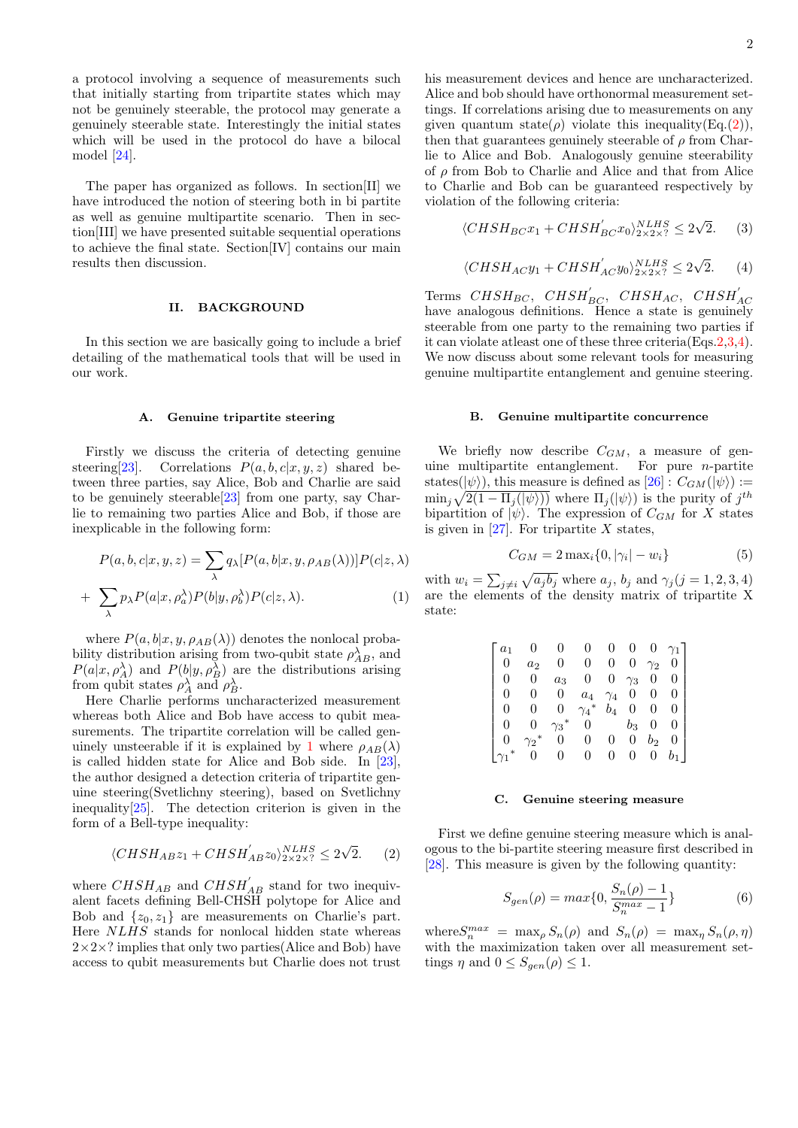a protocol involving a sequence of measurements such that initially starting from tripartite states which may not be genuinely steerable, the protocol may generate a genuinely steerable state. Interestingly the initial states which will be used in the protocol do have a bilocal model [24].

The paper has organized as follows. In section[II] we have introduced the notion of steering both in bi partite as well as genuine multipartite scenario. Then in section[III] we have presented suitable sequential operations to achieve the final state. Section[IV] contains our main results then discussion.

# II. BACKGROUND

In this section we are basically going to include a brief detailing of the mathematical tools that will be used in our work.

# A. Genuine tripartite steering

Firstly we discuss the criteria of detecting genuine steering[23]. Correlations  $P(a, b, c|x, y, z)$  shared between three parties, say Alice, Bob and Charlie are said to be genuinely steerable[23] from one party, say Charlie to remaining two parties Alice and Bob, if those are inexplicable in the following form:

$$
P(a, b, c|x, y, z) = \sum_{\lambda} q_{\lambda} [P(a, b|x, y, \rho_{AB}(\lambda))] P(c|z, \lambda)
$$

$$
+ \sum_{\lambda} p_{\lambda} P(a|x, \rho_{\alpha}^{\lambda}) P(b|y, \rho_{b}^{\lambda}) P(c|z, \lambda). \tag{1}
$$

where  $P(a, b|x, y, \rho_{AB}(\lambda))$  denotes the nonlocal probability distribution arising from two-qubit state  $\rho_{AB}^{\lambda}$ , and  $P(a|x, \rho_A^{\lambda})$  and  $P(b|y, \rho_B^{\lambda})$  are the distributions arising from qubit states  $\rho_A^{\lambda}$  and  $\rho_B^{\lambda}$ .

Here Charlie performs uncharacterized measurement whereas both Alice and Bob have access to qubit measurements. The tripartite correlation will be called genuinely unsteerable if it is explained by 1 where  $\rho_{AB}(\lambda)$ is called hidden state for Alice and Bob side. In [23], the author designed a detection criteria of tripartite genuine steering(Svetlichny steering), based on Svetlichny inequality  $[25]$ . The detection criterion is given in the form of a Bell-type inequality:

$$
\langle CHSH_{AB}z_1 + CHSH_{AB}^{'}z_0 \rangle_{2 \times 2 \times 7}^{NLHS} \le 2\sqrt{2}.
$$
 (2)

where  $CHSH_{AB}$  and  $CHSH'_{AB}$  stand for two inequivalent facets defining Bell-CHSH polytope for Alice and Bob and  $\{z_0, z_1\}$  are measurements on Charlie's part. Here NLHS stands for nonlocal hidden state whereas  $2\times2\times$ ? implies that only two parties(Alice and Bob) have access to qubit measurements but Charlie does not trust

his measurement devices and hence are uncharacterized. Alice and bob should have orthonormal measurement settings. If correlations arising due to measurements on any given quantum state( $\rho$ ) violate this inequality(Eq.(2)), then that guarantees genuinely steerable of  $\rho$  from Charlie to Alice and Bob. Analogously genuine steerability of  $\rho$  from Bob to Charlie and Alice and that from Alice to Charlie and Bob can be guaranteed respectively by violation of the following criteria:

$$
\langle CHSH_{BC}x_1 + CHSH_{BC}^{'}x_0 \rangle_{2 \times 2 \times 7}^{NLHS} \le 2\sqrt{2}.
$$
 (3)

$$
\langle CHSH_{AC}y_1 + CHSH_{AC}'y_0 \rangle_{2 \times 2 \times ?}^{NLHS} \le 2\sqrt{2}.
$$
 (4)

Terms  $\mathit{CHSH}_{BC},\;\; \mathit{CHSH}_{BC}^\prime,\;\; \mathit{CHSH}_{AC},\;\; \mathit{CHSH}_{AC}^\prime$ have analogous definitions. Hence a state is genuinely steerable from one party to the remaining two parties if it can violate atleast one of these three criteria(Eqs.2,3,4). We now discuss about some relevant tools for measuring genuine multipartite entanglement and genuine steering.

# B. Genuine multipartite concurrence

We briefly now describe  $C_{GM}$ , a measure of genuine multipartite entanglement. For pure  $n$ -partite states( $|\psi\rangle$ ), this measure is defined as  $[26]$ :  $C_{GM}(|\psi\rangle)$ :=  $\min_j \sqrt{2(1-\Pi_j(|\psi\rangle))}$  where  $\Pi_j(|\psi\rangle)$  is the purity of  $j^{th}$ bipartition of  $|\psi\rangle$ . The expression of  $C_{GM}$  for X states is given in  $[27]$ . For tripartite X states,

$$
C_{GM} = 2 \max_i \{0, |\gamma_i| - w_i\} \tag{5}
$$

with  $w_i = \sum_{j \neq i} \sqrt{a_j b_j}$  where  $a_j$ ,  $b_j$  and  $\gamma_j (j = 1, 2, 3, 4)$ with  $w_i = \sum_{j\neq i} \sqrt{a_j a_j}$  where  $a_j$ ,  $a_j$  and  $\sqrt{j}(j-1,2,3,4)$ <br>are the elements of the density matrix of tripartite X state:

| a <sub>1</sub> |          |            |                         |            | 0          |            |              |
|----------------|----------|------------|-------------------------|------------|------------|------------|--------------|
| 0              | $a_2$    | 0          | 0                       | 0          | 0          | $\gamma_2$ |              |
| 0              | 0        | $a_3$      | 0                       | 0          | $\gamma_3$ | 0          | $\theta$     |
| 0              | 0        | 0          | $a_4$                   | $\gamma_4$ | 0          | 0          |              |
| 0              | 0        | 0          | $\gamma_4$ <sup>*</sup> | $b_4$      | 0          | 0          | $\mathbf{0}$ |
|                |          | $\gamma_3$ | 0                       |            | $b_3$      | 0          |              |
|                | ້າ       | 0          | 0                       | 0          | 0          | $b_2$      | O            |
|                | $\Omega$ | 0          | 0                       | 0          | 0          | 0          |              |

### C. Genuine steering measure

First we define genuine steering measure which is analogous to the bi-partite steering measure first described in [28]. This measure is given by the following quantity:

$$
S_{gen}(\rho) = max\{0, \frac{S_n(\rho) - 1}{S_n^{max} - 1}\}\
$$
 (6)

where  $S_n^{max} = \max_{\rho} S_n(\rho)$  and  $S_n(\rho) = \max_{\eta} S_n(\rho, \eta)$ with the maximization taken over all measurement settings  $\eta$  and  $0 \leq S_{gen}(\rho) \leq 1$ .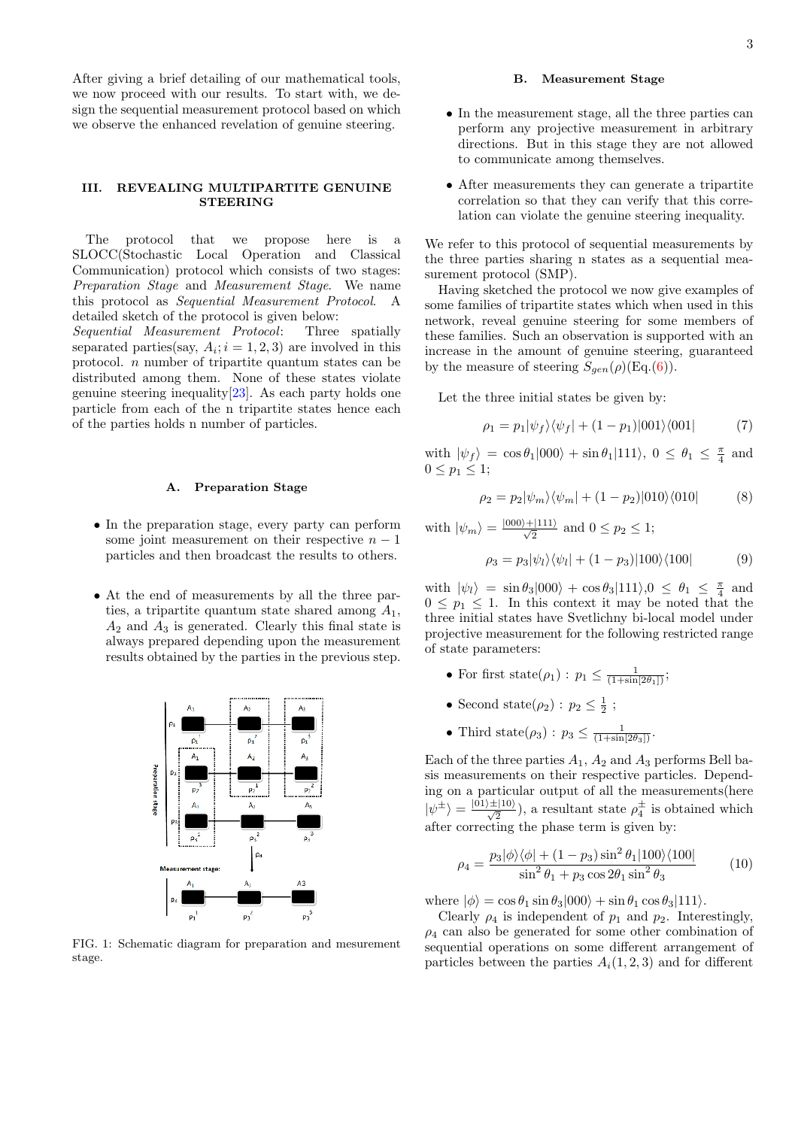After giving a brief detailing of our mathematical tools, we now proceed with our results. To start with, we design the sequential measurement protocol based on which we observe the enhanced revelation of genuine steering.

## III. REVEALING MULTIPARTITE GENUINE **STEERING**

The protocol that we propose here is a SLOCC(Stochastic Local Operation and Classical Communication) protocol which consists of two stages: Preparation Stage and Measurement Stage. We name this protocol as Sequential Measurement Protocol. A detailed sketch of the protocol is given below:

Sequential Measurement Protocol: Three spatially separated parties(say,  $A_i$ ;  $i = 1, 2, 3$ ) are involved in this protocol. n number of tripartite quantum states can be distributed among them. None of these states violate genuine steering inequality $[23]$ . As each party holds one particle from each of the n tripartite states hence each of the parties holds n number of particles.

### A. Preparation Stage

- In the preparation stage, every party can perform some joint measurement on their respective  $n-1$ particles and then broadcast the results to others.
- At the end of measurements by all the three parties, a tripartite quantum state shared among  $A_1$ ,  $A_2$  and  $A_3$  is generated. Clearly this final state is always prepared depending upon the measurement results obtained by the parties in the previous step.



FIG. 1: Schematic diagram for preparation and mesurement stage.

# B. Measurement Stage

- In the measurement stage, all the three parties can perform any projective measurement in arbitrary directions. But in this stage they are not allowed to communicate among themselves.
- After measurements they can generate a tripartite correlation so that they can verify that this correlation can violate the genuine steering inequality.

We refer to this protocol of sequential measurements by the three parties sharing n states as a sequential measurement protocol (SMP).

Having sketched the protocol we now give examples of some families of tripartite states which when used in this network, reveal genuine steering for some members of these families. Such an observation is supported with an increase in the amount of genuine steering, guaranteed by the measure of steering  $S_{gen}(\rho)(\text{Eq.}(6)).$ 

Let the three initial states be given by:

$$
\rho_1 = p_1 |\psi_f\rangle\langle\psi_f| + (1 - p_1)|001\rangle\langle001| \tag{7}
$$

with  $|\psi_f\rangle = \cos \theta_1 |000\rangle + \sin \theta_1 |111\rangle, 0 \le \theta_1 \le \frac{\pi}{4}$  and  $0 \leq p_1 \leq 1$ ;

$$
\rho_2 = p_2 |\psi_m\rangle\langle\psi_m| + (1 - p_2)|010\rangle\langle010| \tag{8}
$$

with  $|\psi_m\rangle = \frac{|000\rangle + |111\rangle}{\sqrt{2}}$  and  $0 \le p_2 \le 1$ ;

$$
\rho_3 = p_3 |\psi_l\rangle\langle\psi_l| + (1 - p_3)|100\rangle\langle100| \tag{9}
$$

with  $|\psi_l\rangle = \sin \theta_3 |000\rangle + \cos \theta_3 |111\rangle, 0 \le \theta_1 \le \frac{\pi}{4}$  and  $0 \leq p_1 \leq 1$ . In this context it may be noted that the three initial states have Svetlichny bi-local model under projective measurement for the following restricted range of state parameters:

- For first state $(\rho_1): p_1 \leq \frac{1}{(1+\sin[2\theta_1])}$ ;
- Second state( $\rho_2$ ) :  $p_2 \leq \frac{1}{2}$ ;
- Third state( $\rho_3$ ) :  $p_3 \leq \frac{1}{(1+\sin[2\theta_3])}$ .

Each of the three parties  $A_1$ ,  $A_2$  and  $A_3$  performs Bell basis measurements on their respective particles. Depending on a particular output of all the measurements(here  $|\psi^{\pm}\rangle = \frac{|01\rangle\pm|10\rangle}{\sqrt{2}}$ , a resultant state  $\rho_4^{\pm}$  is obtained which after correcting the phase term is given by:

$$
\rho_4 = \frac{p_3|\phi\rangle\langle\phi| + (1 - p_3)\sin^2\theta_1|100\rangle\langle100|}{\sin^2\theta_1 + p_3\cos 2\theta_1\sin^2\theta_3}
$$
(10)

where  $|\phi\rangle = \cos \theta_1 \sin \theta_3 |000\rangle + \sin \theta_1 \cos \theta_3 |111\rangle.$ 

Clearly  $\rho_4$  is independent of  $p_1$  and  $p_2$ . Interestingly,  $\rho_4$  can also be generated for some other combination of sequential operations on some different arrangement of particles between the parties  $A_i(1, 2, 3)$  and for different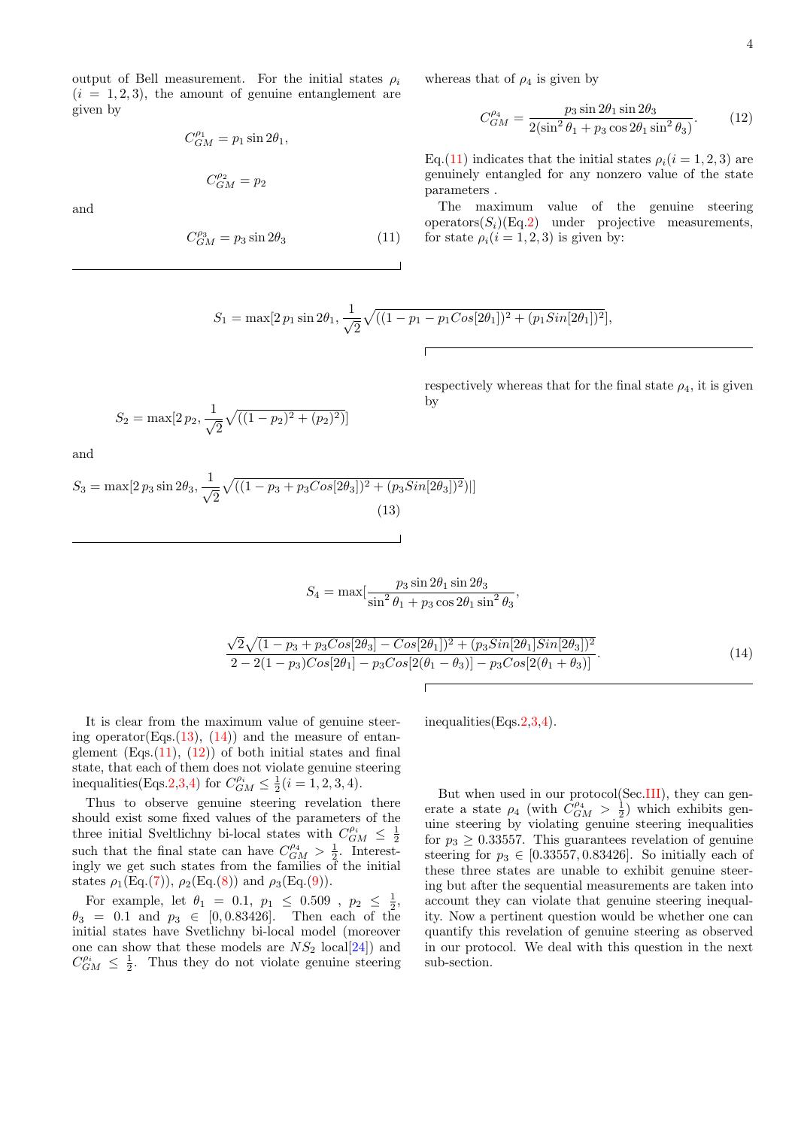output of Bell measurement. For the initial states  $\rho_i$  $(i = 1, 2, 3)$ , the amount of genuine entanglement are given by

$$
C_{GM}^{\rho_1} = p_1 \sin 2\theta_1,
$$

$$
C^{\rho_2}_{GM} = p_2
$$

and

$$
C_{GM}^{\rho_3} = p_3 \sin 2\theta_3 \tag{11}
$$

whereas that of  $\rho_4$  is given by

$$
C_{GM}^{\rho_4} = \frac{p_3 \sin 2\theta_1 \sin 2\theta_3}{2(\sin^2 \theta_1 + p_3 \cos 2\theta_1 \sin^2 \theta_3)}.
$$
 (12)

Eq.(11) indicates that the initial states  $\rho_i(i = 1, 2, 3)$  are genuinely entangled for any nonzero value of the state parameters .

The maximum value of the genuine steering operators $(S_i)(Eq.2)$  under projective measurements, for state  $\rho_i(i = 1, 2, 3)$  is given by:

$$
S_1 = \max[2 p_1 \sin 2\theta_1, \frac{1}{\sqrt{2}} \sqrt{((1 - p_1 - p_1 Cos[2\theta_1])^2 + (p_1 Sin[2\theta_1])^2)},
$$

respectively whereas that for the final state  $\rho_4$ , it is given by

and

 $S_2 = \max[2p_2, \frac{1}{\sqrt{2}}]$ 

 $\overline{\sqrt{2}}$ 

$$
S_3 = \max[2 p_3 \sin 2\theta_3, \frac{1}{\sqrt{2}} \sqrt{((1 - p_3 + p_3 \cos[2\theta_3])^2 + (p_3 \sin[2\theta_3])^2)}|]
$$
\n(13)

 $\sqrt{((1-p_2)^2+(p_2)^2)}$ 

$$
S_4 = \max\left[\frac{p_3 \sin 2\theta_1 \sin 2\theta_3}{\sin^2 \theta_1 + p_3 \cos 2\theta_1 \sin^2 \theta_3},\right]
$$

$$
\frac{\sqrt{2}\sqrt{(1-p_3+p_3Cos[2\theta_3]-Cos[2\theta_1])^2+(p_3Sin[2\theta_1]Sin[2\theta_3])^2}}{2-2(1-p_3)Cos[2\theta_1]-p_3Cos[2(\theta_1-\theta_3)]-p_3Cos[2(\theta_1+\theta_3)]}.
$$
\n(14)

It is clear from the maximum value of genuine steering operator(Eqs.(13), (14)) and the measure of entanglement  $(Es.(11), (12))$  of both initial states and final state, that each of them does not violate genuine steering inequalities(Eqs.2,3,4) for  $C_{GM}^{\rho_i} \le \frac{1}{2}(i = 1, 2, 3, 4)$ .

Thus to observe genuine steering revelation there should exist some fixed values of the parameters of the three initial Sveltlichny bi-local states with  $C_{GM}^{\rho_i} \leq \frac{1}{2}$ <br>such that the final state can have  $C_{GM}^{\rho_4} > \frac{1}{2}$ . Interestingly we get such states from the families of the initial states  $\rho_1(\text{Eq.}(7)), \rho_2(\text{Eq.}(8))$  and  $\rho_3(\text{Eq.}(9)).$ 

For example, let  $\theta_1 = 0.1, p_1 \leq 0.509, p_2 \leq \frac{1}{2}$ ,  $\theta_3 = 0.1$  and  $p_3 \in [0, 0.83426]$ . Then each of the initial states have Svetlichny bi-local model (moreover one can show that these models are  $NS_2$  local[24]) and  $C_{GM}^{\rho_i} \leq \frac{1}{2}$ . Thus they do not violate genuine steering

inequalities(Eqs.2,3,4).

But when used in our protocol(Sec.III), they can generate a state  $\rho_4$  (with  $C_{GM}^{\rho_4} > \frac{1}{2}$ ) which exhibits genuine steering by violating genuine steering inequalities for  $p_3 \geq 0.33557$ . This guarantees revelation of genuine steering for  $p_3 \in [0.33557, 0.83426]$ . So initially each of these three states are unable to exhibit genuine steering but after the sequential measurements are taken into account they can violate that genuine steering inequality. Now a pertinent question would be whether one can quantify this revelation of genuine steering as observed in our protocol. We deal with this question in the next sub-section.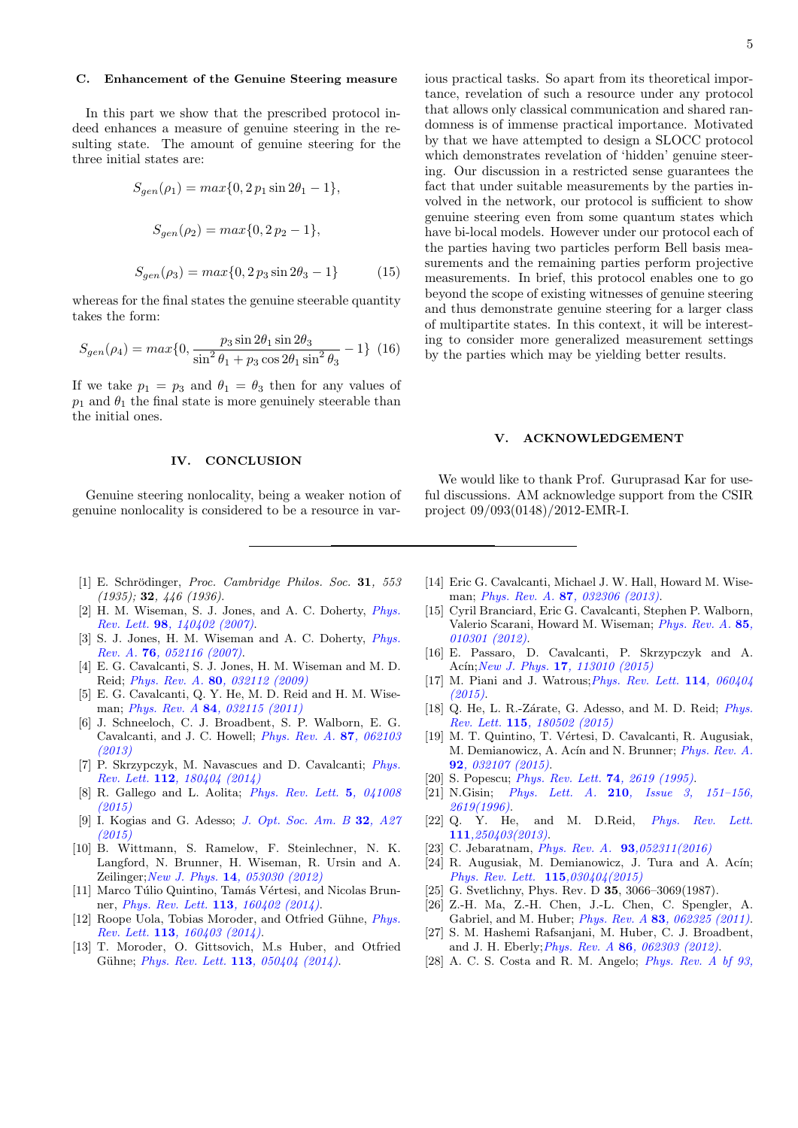# C. Enhancement of the Genuine Steering measure

In this part we show that the prescribed protocol indeed enhances a measure of genuine steering in the resulting state. The amount of genuine steering for the three initial states are:

$$
S_{gen}(\rho_1) = max\{0, 2 p_1 \sin 2\theta_1 - 1\},
$$
  
\n
$$
S_{gen}(\rho_2) = max\{0, 2 p_2 - 1\},
$$
  
\n
$$
S_{gen}(\rho_3) = max\{0, 2 p_3 \sin 2\theta_3 - 1\}
$$
 (15)

whereas for the final states the genuine steerable quantity takes the form:

$$
S_{gen}(\rho_4) = \max\{0, \frac{p_3 \sin 2\theta_1 \sin 2\theta_3}{\sin^2 \theta_1 + p_3 \cos 2\theta_1 \sin^2 \theta_3} - 1\}
$$
 (16)

If we take  $p_1 = p_3$  and  $\theta_1 = \theta_3$  then for any values of  $p_1$  and  $\theta_1$  the final state is more genuinely steerable than the initial ones.

### IV. CONCLUSION

Genuine steering nonlocality, being a weaker notion of genuine nonlocality is considered to be a resource in various practical tasks. So apart from its theoretical importance, revelation of such a resource under any protocol that allows only classical communication and shared randomness is of immense practical importance. Motivated by that we have attempted to design a SLOCC protocol which demonstrates revelation of 'hidden' genuine steering. Our discussion in a restricted sense guarantees the fact that under suitable measurements by the parties involved in the network, our protocol is sufficient to show genuine steering even from some quantum states which have bi-local models. However under our protocol each of the parties having two particles perform Bell basis measurements and the remaining parties perform projective measurements. In brief, this protocol enables one to go beyond the scope of existing witnesses of genuine steering and thus demonstrate genuine steering for a larger class of multipartite states. In this context, it will be interesting to consider more generalized measurement settings by the parties which may be yielding better results.

### V. ACKNOWLEDGEMENT

We would like to thank Prof. Guruprasad Kar for useful discussions. AM acknowledge support from the CSIR project 09/093(0148)/2012-EMR-I.

- [1] E. Schrödinger, Proc. Cambridge Philos. Soc. 31, 553 (1935); 32, 446 (1936).
- [2] H. M. Wiseman, S. J. Jones, and A. C. Doherty, Phys. Rev. Lett. 98, 140402 (2007).
- [3] S. J. Jones, H. M. Wiseman and A. C. Doherty, *Phys.* Rev. A. 76, 052116 (2007).
- [4] E. G. Cavalcanti, S. J. Jones, H. M. Wiseman and M. D. Reid; Phys. Rev. A. 80, 032112 (2009)
- [5] E. G. Cavalcanti, Q. Y. He, M. D. Reid and H. M. Wiseman; Phys. Rev. A 84, 032115 (2011)
- [6] J. Schneeloch, C. J. Broadbent, S. P. Walborn, E. G. Cavalcanti, and J. C. Howell; Phys. Rev. A. 87, 062103 (2013)
- [7] P. Skrzypczyk, M. Navascues and D. Cavalcanti; Phys. Rev. Lett. 112, 180404 (2014)
- [8] R. Gallego and L. Aolita; Phys. Rev. Lett. 5, 041008 (2015)
- [9] I. Kogias and G. Adesso; J. Opt. Soc. Am. B 32, A27 (2015)
- [10] B. Wittmann, S. Ramelow, F. Steinlechner, N. K. Langford, N. Brunner, H. Wiseman, R. Ursin and A. Zeilinger;New J. Phys. 14, 053030 (2012)
- [11] Marco Túlio Quintino, Tamás Vértesi, and Nicolas Brunner, Phys. Rev. Lett. 113, 160402 (2014).
- [12] Roope Uola, Tobias Moroder, and Otfried Gühne,  $Phys.$ Rev. Lett. 113, 160403 (2014).
- [13] T. Moroder, O. Gittsovich, M.s Huber, and Otfried Gühne; *Phys. Rev. Lett.* **113**,  $050404$  (2014).
- [14] Eric G. Cavalcanti, Michael J. W. Hall, Howard M. Wiseman; *Phys. Rev. A.* 87, 032306 (2013).
- [15] Cyril Branciard, Eric G. Cavalcanti, Stephen P. Walborn, Valerio Scarani, Howard M. Wiseman; Phys. Rev. A. 85, 010301 (2012).
- [16] E. Passaro, D. Cavalcanti, P. Skrzypczyk and A. Acín; New J. Phys. 17, 113010 (2015)
- [17] M. Piani and J. Watrous; Phys. Rev. Lett. 114, 060404 (2015).
- [18] Q. He, L. R.-Zárate, G. Adesso, and M. D. Reid; *Phys.* Rev. Lett. 115, 180502 (2015)
- [19] M. T. Quintino, T. Vértesi, D. Cavalcanti, R. Augusiak, M. Demianowicz, A. Acín and N. Brunner; *Phys. Rev. A.* 92, 032107 (2015).
- [20] S. Popescu; *Phys. Rev. Lett.* **74**, 2619 (1995).
- [21] N.Gisin; *Phys. Lett. A.* **210**, *Issue 3*, *151-156*, 2619(1996).
- [22] Q. Y. He, and M. D.Reid, *Phys. Rev. Lett.* 111,250403(2013).
- [23] C. Jebaratnam, *Phys. Rev. A.* **93**,052311(2016)
- [24] R. Augusiak, M. Demianowicz, J. Tura and A. Acín; Phys. Rev. Lett. 115,030404(2015)
- [25] G. Svetlichny, Phys. Rev. D **35**, 3066-3069(1987).
- [26] Z.-H. Ma, Z.-H. Chen, J.-L. Chen, C. Spengler, A. Gabriel, and M. Huber; *Phys. Rev. A* 83, 062325 (2011).
- [27] S. M. Hashemi Rafsanjani, M. Huber, C. J. Broadbent, and J. H. Eberly;Phys. Rev. A 86, 062303 (2012).
- [28] A. C. S. Costa and R. M. Angelo; Phys. Rev. A bf 93,